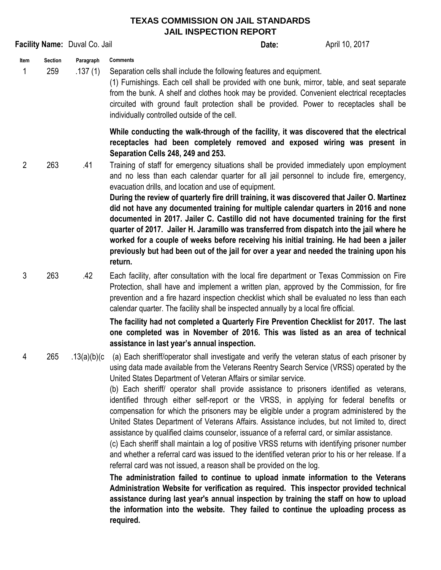## **TEXAS COMMISSION ON JAIL STANDARDS JAIL INSPECTION REPORT**

| Facility Name: Duval Co. Jail |                       |                      |                                                                                                                                                                                                                                                                                                                                                                                                                                                                                                                                                                                                                                                                                                                                                                                                                                                                                                                                                                                                                                                                                                                                                                                                                                                                                                                                                                                                                | Date: | April 10, 2017 |
|-------------------------------|-----------------------|----------------------|----------------------------------------------------------------------------------------------------------------------------------------------------------------------------------------------------------------------------------------------------------------------------------------------------------------------------------------------------------------------------------------------------------------------------------------------------------------------------------------------------------------------------------------------------------------------------------------------------------------------------------------------------------------------------------------------------------------------------------------------------------------------------------------------------------------------------------------------------------------------------------------------------------------------------------------------------------------------------------------------------------------------------------------------------------------------------------------------------------------------------------------------------------------------------------------------------------------------------------------------------------------------------------------------------------------------------------------------------------------------------------------------------------------|-------|----------------|
| Item<br>1                     | <b>Section</b><br>259 | Paragraph<br>.137(1) | <b>Comments</b><br>Separation cells shall include the following features and equipment.<br>(1) Furnishings. Each cell shall be provided with one bunk, mirror, table, and seat separate<br>from the bunk. A shelf and clothes hook may be provided. Convenient electrical receptacles<br>circuited with ground fault protection shall be provided. Power to receptacles shall be<br>individually controlled outside of the cell.                                                                                                                                                                                                                                                                                                                                                                                                                                                                                                                                                                                                                                                                                                                                                                                                                                                                                                                                                                               |       |                |
| $\overline{2}$                | 263                   | .41                  | While conducting the walk-through of the facility, it was discovered that the electrical<br>receptacles had been completely removed and exposed wiring was present in<br>Separation Cells 248, 249 and 253.<br>Training of staff for emergency situations shall be provided immediately upon employment<br>and no less than each calendar quarter for all jail personnel to include fire, emergency,<br>evacuation drills, and location and use of equipment.<br>During the review of quarterly fire drill training, it was discovered that Jailer O. Martinez<br>did not have any documented training for multiple calendar quarters in 2016 and none<br>documented in 2017. Jailer C. Castillo did not have documented training for the first<br>quarter of 2017. Jailer H. Jaramillo was transferred from dispatch into the jail where he<br>worked for a couple of weeks before receiving his initial training. He had been a jailer<br>previously but had been out of the jail for over a year and needed the training upon his<br>return.                                                                                                                                                                                                                                                                                                                                                                |       |                |
| 3                             | 263                   | .42                  | Each facility, after consultation with the local fire department or Texas Commission on Fire<br>Protection, shall have and implement a written plan, approved by the Commission, for fire<br>prevention and a fire hazard inspection checklist which shall be evaluated no less than each<br>calendar quarter. The facility shall be inspected annually by a local fire official.<br>The facility had not completed a Quarterly Fire Prevention Checklist for 2017. The last                                                                                                                                                                                                                                                                                                                                                                                                                                                                                                                                                                                                                                                                                                                                                                                                                                                                                                                                   |       |                |
|                               |                       |                      | one completed was in November of 2016. This was listed as an area of technical<br>assistance in last year's annual inspection.                                                                                                                                                                                                                                                                                                                                                                                                                                                                                                                                                                                                                                                                                                                                                                                                                                                                                                                                                                                                                                                                                                                                                                                                                                                                                 |       |                |
| 4                             | 265                   | .13(a)(b)(c          | (a) Each sheriff/operator shall investigate and verify the veteran status of each prisoner by<br>using data made available from the Veterans Reentry Search Service (VRSS) operated by the<br>United States Department of Veteran Affairs or similar service.<br>(b) Each sheriff operator shall provide assistance to prisoners identified as veterans,<br>identified through either self-report or the VRSS, in applying for federal benefits or<br>compensation for which the prisoners may be eligible under a program administered by the<br>United States Department of Veterans Affairs. Assistance includes, but not limited to, direct<br>assistance by qualified claims counselor, issuance of a referral card, or similar assistance.<br>(c) Each sheriff shall maintain a log of positive VRSS returns with identifying prisoner number<br>and whether a referral card was issued to the identified veteran prior to his or her release. If a<br>referral card was not issued, a reason shall be provided on the log.<br>The administration failed to continue to upload inmate information to the Veterans<br>Administration Website for verification as required. This inspector provided technical<br>assistance during last year's annual inspection by training the staff on how to upload<br>the information into the website. They failed to continue the uploading process as<br>required. |       |                |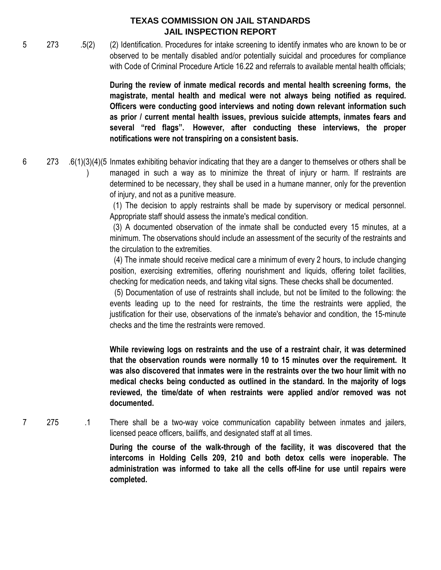## **TEXAS COMMISSION ON JAIL STANDARDS JAIL INSPECTION REPORT**

5 273 .5(2) (2) Identification. Procedures for intake screening to identify inmates who are known to be or observed to be mentally disabled and/or potentially suicidal and procedures for compliance with Code of Criminal Procedure Article 16.22 and referrals to available mental health officials;

> **During the review of inmate medical records and mental health screening forms, the magistrate, mental health and medical were not always being notified as required. Officers were conducting good interviews and noting down relevant information such as prior / current mental health issues, previous suicide attempts, inmates fears and several "red flags". However, after conducting these interviews, the proper notifications were not transpiring on a consistent basis.**

6 273 .6(1)(3)(4)(5 Inmates exhibiting behavior indicating that they are a danger to themselves or others shall be  $\left( \right)$ managed in such a way as to minimize the threat of injury or harm. If restraints are determined to be necessary, they shall be used in a humane manner, only for the prevention of injury, and not as a punitive measure.

(1) The decision to apply restraints shall be made by supervisory or medical personnel. Appropriate staff should assess the inmate's medical condition.

(3) A documented observation of the inmate shall be conducted every 15 minutes, at a minimum. The observations should include an assessment of the security of the restraints and the circulation to the extremities.

(4) The inmate should receive medical care a minimum of every 2 hours, to include changing position, exercising extremities, offering nourishment and liquids, offering toilet facilities, checking for medication needs, and taking vital signs. These checks shall be documented.

(5) Documentation of use of restraints shall include, but not be limited to the following: the events leading up to the need for restraints, the time the restraints were applied, the justification for their use, observations of the inmate's behavior and condition, the 15-minute checks and the time the restraints were removed.

**While reviewing logs on restraints and the use of a restraint chair, it was determined that the observation rounds were normally 10 to 15 minutes over the requirement. It was also discovered that inmates were in the restraints over the two hour limit with no medical checks being conducted as outlined in the standard. In the majority of logs reviewed, the time/date of when restraints were applied and/or removed was not documented.**

7 275 .1 There shall be a two-way voice communication capability between inmates and jailers, licensed peace officers, bailiffs, and designated staff at all times.

> **During the course of the walk-through of the facility, it was discovered that the intercoms in Holding Cells 209, 210 and both detox cells were inoperable. The administration was informed to take all the cells off-line for use until repairs were completed.**